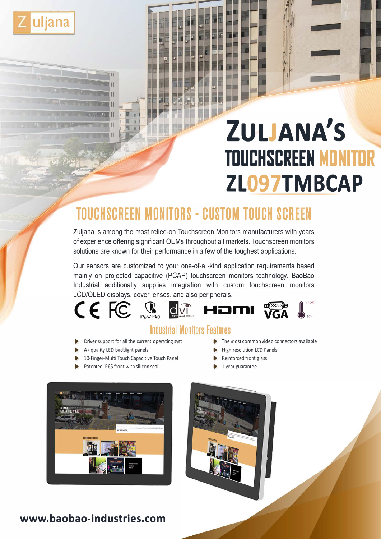

# **ZULJANA'S TOUCHSCREEN MONITOR ZL097TMBCAP**

# **TOUCHSCREEN MONITORS - CUSTOM TOUCH SCREEN**

Zuljana is among the most relied-on Touchscreen Monitors manufacturers with years of experience offering significant OEMs throughout all markets. Touchscreen monitors solutions are known for their performance in a few of the toughest applications.

Our sensors are customized to your one-of-a -kind application requirements based mainly on projected capacitive (PCAP) touchscreen monitors technology. BaoBao Industrial additionally supplies integration with custom touchscreen monitors LCD/OLEO displays, cover lenses, and also peripherals.



## **Industrial Monitors features**

- Driver support for all the current operating syst **► ■** The most common video connectors available
- A+ quality LED backlight panels 
Below and the High resolution LCD Panels
- 10-Finger-Multi Touch Capacitive Touch Panel ▶ Reinforced front glass
- Patented IP65 front with silicon seal 1 year guarantee
- 
- 
- -





### **www.baobao-industries.com**